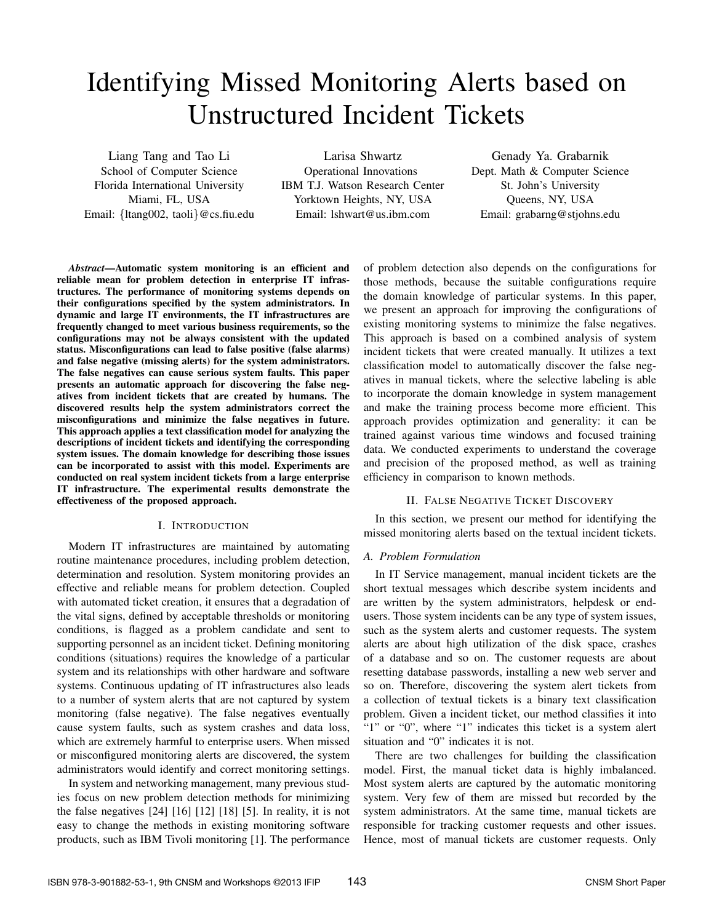# Identifying Missed Monitoring Alerts based on Unstructured Incident Tickets

Liang Tang and Tao Li School of Computer Science Florida International University Miami, FL, USA Email: *{*ltang002, taoli*}*@cs.fiu.edu

Larisa Shwartz Operational Innovations IBM T.J. Watson Research Center Yorktown Heights, NY, USA Email: lshwart@us.ibm.com

Genady Ya. Grabarnik Dept. Math & Computer Science St. John's University Queens, NY, USA Email: grabarng@stjohns.edu

*Abstract*—Automatic system monitoring is an efficient and reliable mean for problem detection in enterprise IT infrastructures. The performance of monitoring systems depends on their configurations specified by the system administrators. In dynamic and large IT environments, the IT infrastructures are frequently changed to meet various business requirements, so the configurations may not be always consistent with the updated status. Misconfigurations can lead to false positive (false alarms) and false negative (missing alerts) for the system administrators. The false negatives can cause serious system faults. This paper presents an automatic approach for discovering the false negatives from incident tickets that are created by humans. The discovered results help the system administrators correct the misconfigurations and minimize the false negatives in future. This approach applies a text classification model for analyzing the descriptions of incident tickets and identifying the corresponding system issues. The domain knowledge for describing those issues can be incorporated to assist with this model. Experiments are conducted on real system incident tickets from a large enterprise IT infrastructure. The experimental results demonstrate the effectiveness of the proposed approach.

# I. INTRODUCTION

Modern IT infrastructures are maintained by automating routine maintenance procedures, including problem detection, determination and resolution. System monitoring provides an effective and reliable means for problem detection. Coupled with automated ticket creation, it ensures that a degradation of the vital signs, defined by acceptable thresholds or monitoring conditions, is flagged as a problem candidate and sent to supporting personnel as an incident ticket. Defining monitoring conditions (situations) requires the knowledge of a particular system and its relationships with other hardware and software systems. Continuous updating of IT infrastructures also leads to a number of system alerts that are not captured by system monitoring (false negative). The false negatives eventually cause system faults, such as system crashes and data loss, which are extremely harmful to enterprise users. When missed or misconfigured monitoring alerts are discovered, the system administrators would identify and correct monitoring settings.

In system and networking management, many previous studies focus on new problem detection methods for minimizing the false negatives [24] [16] [12] [18] [5]. In reality, it is not easy to change the methods in existing monitoring software products, such as IBM Tivoli monitoring [1]. The performance

of problem detection also depends on the configurations for those methods, because the suitable configurations require the domain knowledge of particular systems. In this paper, we present an approach for improving the configurations of existing monitoring systems to minimize the false negatives. This approach is based on a combined analysis of system incident tickets that were created manually. It utilizes a text classification model to automatically discover the false negatives in manual tickets, where the selective labeling is able to incorporate the domain knowledge in system management and make the training process become more efficient. This approach provides optimization and generality: it can be trained against various time windows and focused training data. We conducted experiments to understand the coverage and precision of the proposed method, as well as training efficiency in comparison to known methods.

# II. FALSE NEGATIVE TICKET DISCOVERY

In this section, we present our method for identifying the missed monitoring alerts based on the textual incident tickets.

### *A. Problem Formulation*

In IT Service management, manual incident tickets are the short textual messages which describe system incidents and are written by the system administrators, helpdesk or endusers. Those system incidents can be any type of system issues, such as the system alerts and customer requests. The system alerts are about high utilization of the disk space, crashes of a database and so on. The customer requests are about resetting database passwords, installing a new web server and so on. Therefore, discovering the system alert tickets from a collection of textual tickets is a binary text classification problem. Given a incident ticket, our method classifies it into "1" or "0", where "1" indicates this ticket is a system alert situation and "0" indicates it is not.

There are two challenges for building the classification model. First, the manual ticket data is highly imbalanced. Most system alerts are captured by the automatic monitoring system. Very few of them are missed but recorded by the system administrators. At the same time, manual tickets are responsible for tracking customer requests and other issues. Hence, most of manual tickets are customer requests. Only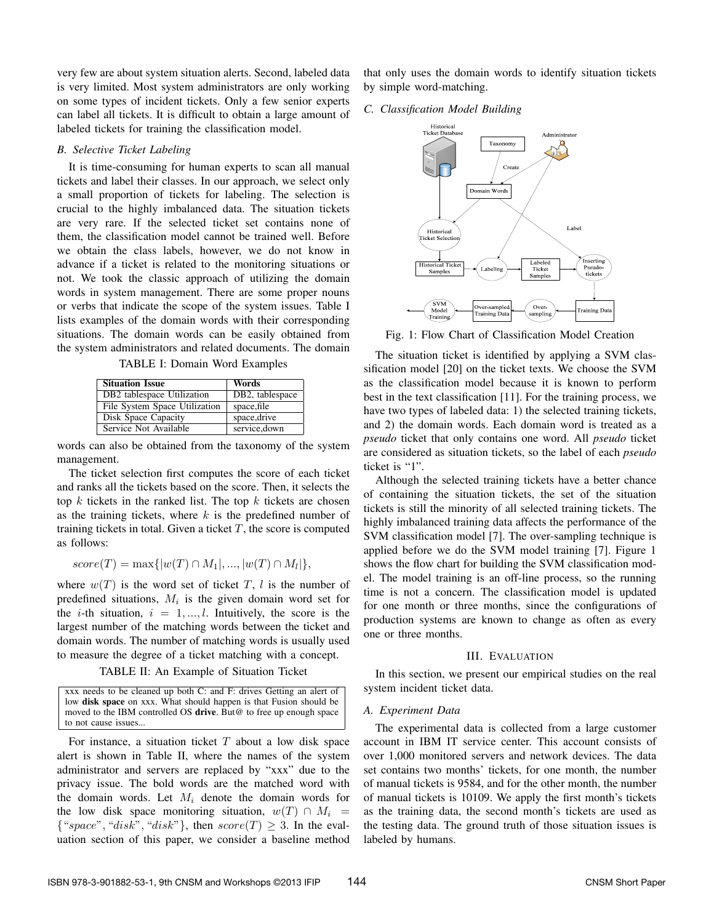very few are about system situation alerts. Second, labeled data is very limited. Most system administrators are only working on some types of incident tickets. Only a few senior experts can label all tickets. It is difficult to obtain a large amount of labeled tickets for training the classification model.

# *B. Selective Ticket Labeling*

It is time-consuming for human experts to scan all manual tickets and label their classes. In our approach, we select only a small proportion of tickets for labeling. The selection is crucial to the highly imbalanced data. The situation tickets are very rare. If the selected ticket set contains none of them, the classification model cannot be trained well. Before we obtain the class labels, however, we do not know in advance if a ticket is related to the monitoring situations or not. We took the classic approach of utilizing the domain words in system management. There are some proper nouns or verbs that indicate the scope of the system issues. Table I lists examples of the domain words with their corresponding situations. The domain words can be easily obtained from the system administrators and related documents. The domain

TABLE I: Domain Word Examples

| <b>Situation Issue</b>                 | Words           |
|----------------------------------------|-----------------|
| DB <sub>2</sub> tablespace Utilization | DB2, tablespace |
| File System Space Utilization          | space, file     |
| Disk Space Capacity                    | space, drive    |
| Service Not Available                  | service, down   |

words can also be obtained from the taxonomy of the system management.

The ticket selection first computes the score of each ticket and ranks all the tickets based on the score. Then, it selects the top *k* tickets in the ranked list. The top *k* tickets are chosen as the training tickets, where *k* is the predefined number of training tickets in total. Given a ticket *T*, the score is computed as follows:

 $score(T) = max\{|w(T) \cap M_1|, ..., |w(T) \cap M_l|\},$ 

where  $w(T)$  is the word set of ticket *T*, *l* is the number of predefined situations, *M<sup>i</sup>* is the given domain word set for the *i*-th situation,  $i = 1, ..., l$ . Intuitively, the score is the largest number of the matching words between the ticket and domain words. The number of matching words is usually used to measure the degree of a ticket matching with a concept.

TABLE II: An Example of Situation Ticket

xxx needs to be cleaned up both C: and F: drives Getting an alert of low disk space on xxx. What should happen is that Fusion should be moved to the IBM controlled OS drive. But@ to free up enough space to not cause issues.

For instance, a situation ticket *T* about a low disk space alert is shown in Table II, where the names of the system administrator and servers are replaced by "xxx" due to the privacy issue. The bold words are the matched word with the domain words. Let  $M_i$  denote the domain words for the low disk space monitoring situation,  $w(T) \cap M_i$  $\{$  "*space*", "*disk*", "*disk*"}, then  $score(T) \geq 3$ . In the evaluation section of this paper, we consider a baseline method that only uses the domain words to identify situation tickets by simple word-matching.

#### *C. Classification Model Building*



Fig. 1: Flow Chart of Classification Model Creation

The situation ticket is identified by applying a SVM classification model [20] on the ticket texts. We choose the SVM as the classification model because it is known to perform best in the text classification [11]. For the training process, we have two types of labeled data: 1) the selected training tickets, and 2) the domain words. Each domain word is treated as a *pseudo* ticket that only contains one word. All *pseudo* ticket are considered as situation tickets, so the label of each *pseudo* ticket is "1".

Although the selected training tickets have a better chance of containing the situation tickets, the set of the situation tickets is still the minority of all selected training tickets. The highly imbalanced training data affects the performance of the SVM classification model [7]. The over-sampling technique is applied before we do the SVM model training [7]. Figure 1 shows the flow chart for building the SVM classification model. The model training is an off-line process, so the running time is not a concern. The classification model is updated for one month or three months, since the configurations of production systems are known to change as often as every one or three months.

### III. EVALUATION

In this section, we present our empirical studies on the real system incident ticket data.

# *A. Experiment Data*

The experimental data is collected from a large customer account in IBM IT service center. This account consists of over 1,000 monitored servers and network devices. The data set contains two months' tickets, for one month, the number of manual tickets is 9584, and for the other month, the number of manual tickets is 10109. We apply the first month's tickets as the training data, the second month's tickets are used as the testing data. The ground truth of those situation issues is labeled by humans.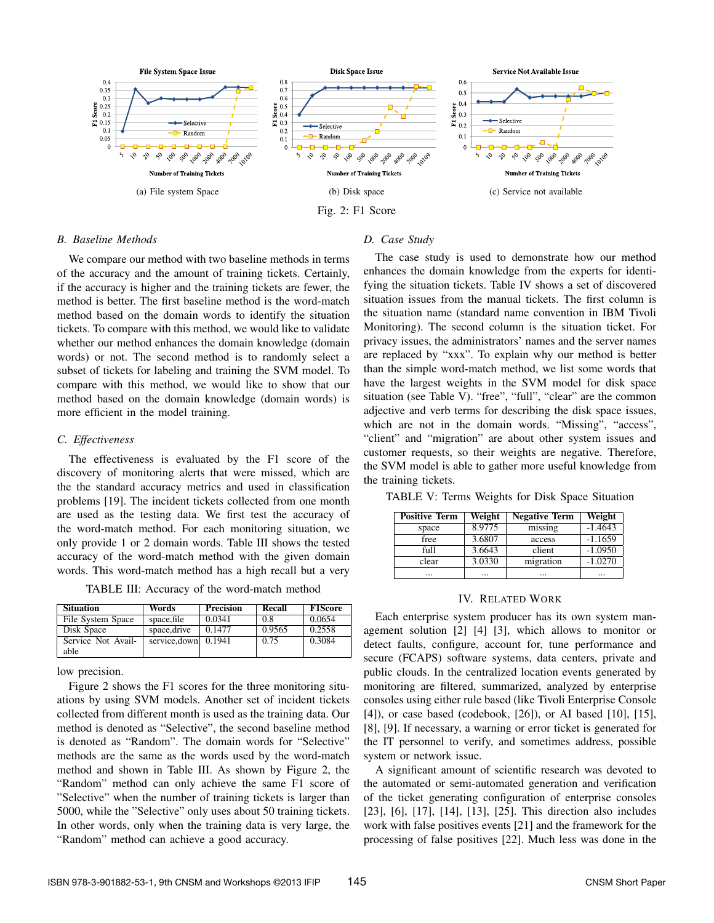

#### *B. Baseline Methods*

We compare our method with two baseline methods in terms of the accuracy and the amount of training tickets. Certainly, if the accuracy is higher and the training tickets are fewer, the method is better. The first baseline method is the word-match method based on the domain words to identify the situation tickets. To compare with this method, we would like to validate whether our method enhances the domain knowledge (domain words) or not. The second method is to randomly select a subset of tickets for labeling and training the SVM model. To compare with this method, we would like to show that our method based on the domain knowledge (domain words) is more efficient in the model training.

### *C. Effectiveness*

The effectiveness is evaluated by the F1 score of the discovery of monitoring alerts that were missed, which are the the standard accuracy metrics and used in classification problems [19]. The incident tickets collected from one month are used as the testing data. We first test the accuracy of the word-match method. For each monitoring situation, we only provide 1 or 2 domain words. Table III shows the tested accuracy of the word-match method with the given domain words. This word-match method has a high recall but a very

TABLE III: Accuracy of the word-match method

| <b>Situation</b>   | Words         | <b>Precision</b> | Recall | <b>F1Score</b> |
|--------------------|---------------|------------------|--------|----------------|
| File System Space  | space, file   | 0.0341           | 0.8    | 0.0654         |
| Disk Space         | space, drive  | 0.1477           | 0.9565 | 0.2558         |
| Service Not Avail- | service, down | 0.1941           | 0.75   | 0.3084         |
| able               |               |                  |        |                |

low precision.

Figure 2 shows the F1 scores for the three monitoring situations by using SVM models. Another set of incident tickets collected from different month is used as the training data. Our method is denoted as "Selective", the second baseline method is denoted as "Random". The domain words for "Selective" methods are the same as the words used by the word-match method and shown in Table III. As shown by Figure 2, the "Random" method can only achieve the same F1 score of "Selective" when the number of training tickets is larger than 5000, while the "Selective" only uses about 50 training tickets. In other words, only when the training data is very large, the "Random" method can achieve a good accuracy.

#### *D. Case Study*

The case study is used to demonstrate how our method enhances the domain knowledge from the experts for identifying the situation tickets. Table IV shows a set of discovered situation issues from the manual tickets. The first column is the situation name (standard name convention in IBM Tivoli Monitoring). The second column is the situation ticket. For privacy issues, the administrators' names and the server names are replaced by "xxx". To explain why our method is better than the simple word-match method, we list some words that have the largest weights in the SVM model for disk space situation (see Table V). "free", "full", "clear" are the common adjective and verb terms for describing the disk space issues, which are not in the domain words. "Missing", "access", "client" and "migration" are about other system issues and customer requests, so their weights are negative. Therefore, the SVM model is able to gather more useful knowledge from the training tickets.

TABLE V: Terms Weights for Disk Space Situation

| <b>Positive Term</b> | Weight | <b>Negative Term</b> | Weight    |
|----------------------|--------|----------------------|-----------|
| space                | 8.9775 | missing              | $-1.4643$ |
| free                 | 3.6807 | access               | $-1.1659$ |
| full                 | 3.6643 | client               | $-1.0950$ |
| clear                | 3.0330 | migration            | $-1.0270$ |
|                      |        | $\cdots$             |           |

#### IV. RELATED WORK

Each enterprise system producer has its own system management solution [2] [4] [3], which allows to monitor or detect faults, configure, account for, tune performance and secure (FCAPS) software systems, data centers, private and public clouds. In the centralized location events generated by monitoring are filtered, summarized, analyzed by enterprise consoles using either rule based (like Tivoli Enterprise Console [4]), or case based (codebook, [26]), or AI based [10], [15], [8], [9]. If necessary, a warning or error ticket is generated for the IT personnel to verify, and sometimes address, possible system or network issue.

A significant amount of scientific research was devoted to the automated or semi-automated generation and verification of the ticket generating configuration of enterprise consoles [23], [6], [17], [14], [13], [25]. This direction also includes work with false positives events [21] and the framework for the processing of false positives [22]. Much less was done in the